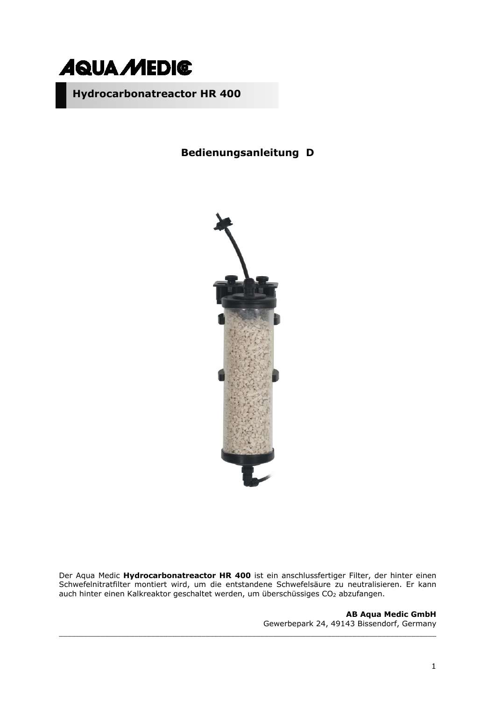

# **Bedienungsanleitung D**



Der Aqua Medic **Hydrocarbonatreactor HR 400** ist ein anschlussfertiger Filter, der hinter einen Schwefelnitratfilter montiert wird, um die entstandene Schwefelsäure zu neutralisieren. Er kann auch hinter einen Kalkreaktor geschaltet werden, um überschüssiges CO<sub>2</sub> abzufangen.

\_\_\_\_\_\_\_\_\_\_\_\_\_\_\_\_\_\_\_\_\_\_\_\_\_\_\_\_\_\_\_\_\_\_\_\_\_\_\_\_\_\_\_\_\_\_\_\_\_\_\_\_\_\_\_\_\_\_\_\_\_\_\_\_\_\_\_\_\_\_\_\_\_\_\_\_\_\_\_\_\_\_\_\_\_\_\_\_\_\_

**AB Aqua Medic GmbH** Gewerbepark 24, 49143 Bissendorf, Germany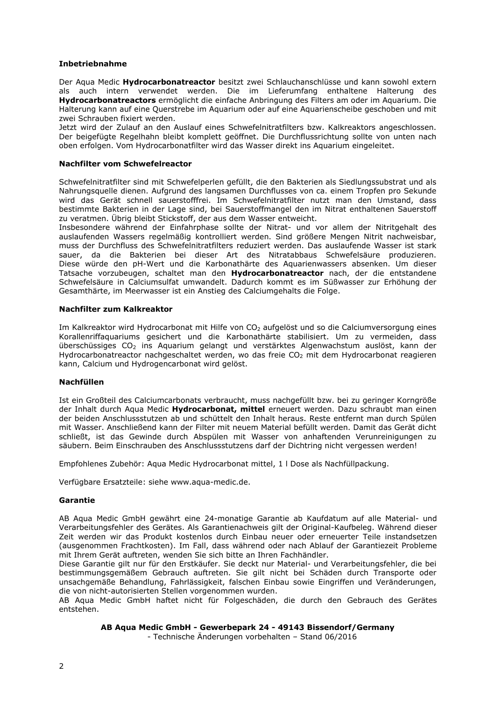#### **Inbetriebnahme**

Der Aqua Medic **Hydrocarbonatreactor** besitzt zwei Schlauchanschlüsse und kann sowohl extern als auch intern verwendet werden. Die im Lieferumfang enthaltene Halterung des **Hydrocarbonatreactors** ermöglicht die einfache Anbringung des Filters am oder im Aquarium. Die Halterung kann auf eine Querstrebe im Aquarium oder auf eine Aquarienscheibe geschoben und mit zwei Schrauben fixiert werden.

Jetzt wird der Zulauf an den Auslauf eines Schwefelnitratfilters bzw. Kalkreaktors angeschlossen. Der beigefügte Regelhahn bleibt komplett geöffnet. Die Durchflussrichtung sollte von unten nach oben erfolgen. Vom Hydrocarbonatfilter wird das Wasser direkt ins Aquarium eingeleitet.

#### **Nachfilter vom Schwefelreactor**

Schwefelnitratfilter sind mit Schwefelperlen gefüllt, die den Bakterien als Siedlungssubstrat und als Nahrungsquelle dienen. Aufgrund des langsamen Durchflusses von ca. einem Tropfen pro Sekunde wird das Gerät schnell sauerstofffrei. Im Schwefelnitratfilter nutzt man den Umstand, dass bestimmte Bakterien in der Lage sind, bei Sauerstoffmangel den im Nitrat enthaltenen Sauerstoff zu veratmen. Übrig bleibt Stickstoff, der aus dem Wasser entweicht.

Insbesondere während der Einfahrphase sollte der Nitrat- und vor allem der Nitritgehalt des auslaufenden Wassers regelmäßig kontrolliert werden. Sind größere Mengen Nitrit nachweisbar, muss der Durchfluss des Schwefelnitratfilters reduziert werden. Das auslaufende Wasser ist stark sauer, da die Bakterien bei dieser Art des Nitratabbaus Schwefelsäure produzieren. Diese würde den pH-Wert und die Karbonathärte des Aquarienwassers absenken. Um dieser Tatsache vorzubeugen, schaltet man den **Hydrocarbonatreactor** nach, der die entstandene Schwefelsäure in Calciumsulfat umwandelt. Dadurch kommt es im Süßwasser zur Erhöhung der Gesamthärte, im Meerwasser ist ein Anstieg des Calciumgehalts die Folge.

#### **Nachfilter zum Kalkreaktor**

Im Kalkreaktor wird Hydrocarbonat mit Hilfe von CO<sub>2</sub> aufgelöst und so die Calciumversorgung eines Korallenriffaquariums gesichert und die Karbonathärte stabilisiert. Um zu vermeiden, dass überschüssiges CO2 ins Aquarium gelangt und verstärktes Algenwachstum auslöst, kann der Hydrocarbonatreactor nachgeschaltet werden, wo das freie CO<sub>2</sub> mit dem Hydrocarbonat reagieren kann, Calcium und Hydrogencarbonat wird gelöst.

#### **Nachfüllen**

Ist ein Großteil des Calciumcarbonats verbraucht, muss nachgefüllt bzw. bei zu geringer Korngröße der Inhalt durch Aqua Medic **Hydrocarbonat, mittel** erneuert werden. Dazu schraubt man einen der beiden Anschlussstutzen ab und schüttelt den Inhalt heraus. Reste entfernt man durch Spülen mit Wasser. Anschließend kann der Filter mit neuem Material befüllt werden. Damit das Gerät dicht schließt, ist das Gewinde durch Abspülen mit Wasser von anhaftenden Verunreinigungen zu säubern. Beim Einschrauben des Anschlussstutzens darf der Dichtring nicht vergessen werden!

Empfohlenes Zubehör: Aqua Medic Hydrocarbonat mittel, 1 l Dose als Nachfüllpackung.

Verfügbare Ersatzteile: siehe www.aqua-medic.de.

#### **Garantie**

AB Aqua Medic GmbH gewährt eine 24-monatige Garantie ab Kaufdatum auf alle Material- und Verarbeitungsfehler des Gerätes. Als Garantienachweis gilt der Original-Kaufbeleg. Während dieser Zeit werden wir das Produkt kostenlos durch Einbau neuer oder erneuerter Teile instandsetzen (ausgenommen Frachtkosten). Im Fall, dass während oder nach Ablauf der Garantiezeit Probleme mit Ihrem Gerät auftreten, wenden Sie sich bitte an Ihren Fachhändler.

Diese Garantie gilt nur für den Erstkäufer. Sie deckt nur Material- und Verarbeitungsfehler, die bei bestimmungsgemäßem Gebrauch auftreten. Sie gilt nicht bei Schäden durch Transporte oder unsachgemäße Behandlung, Fahrlässigkeit, falschen Einbau sowie Eingriffen und Veränderungen, die von nicht-autorisierten Stellen vorgenommen wurden.

AB Aqua Medic GmbH haftet nicht für Folgeschäden, die durch den Gebrauch des Gerätes entstehen.

#### **AB Aqua Medic GmbH - Gewerbepark 24 - 49143 Bissendorf/Germany**

- Technische Änderungen vorbehalten – Stand 06/2016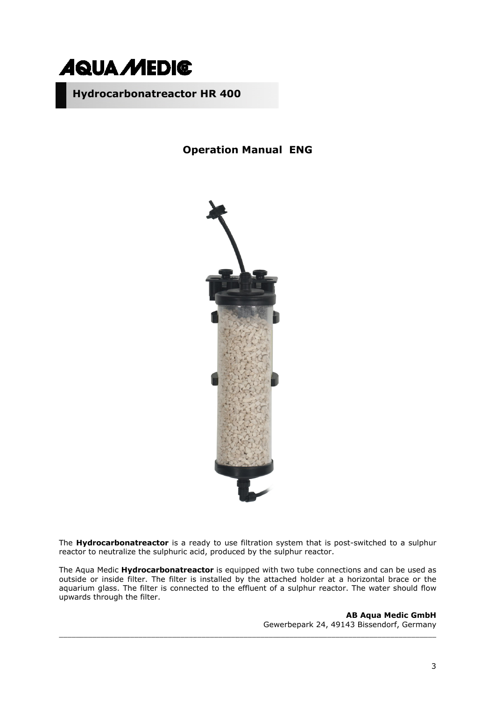

### **Operation Manual ENG**



The **Hydrocarbonatreactor** is a ready to use filtration system that is post-switched to a sulphur reactor to neutralize the sulphuric acid, produced by the sulphur reactor.

The Aqua Medic **Hydrocarbonatreactor** is equipped with two tube connections and can be used as outside or inside filter. The filter is installed by the attached holder at a horizontal brace or the aquarium glass. The filter is connected to the effluent of a sulphur reactor. The water should flow upwards through the filter.

\_\_\_\_\_\_\_\_\_\_\_\_\_\_\_\_\_\_\_\_\_\_\_\_\_\_\_\_\_\_\_\_\_\_\_\_\_\_\_\_\_\_\_\_\_\_\_\_\_\_\_\_\_\_\_\_\_\_\_\_\_\_\_\_\_\_\_\_\_\_\_\_\_\_\_\_\_\_\_\_\_\_\_\_\_\_\_\_\_\_

**AB Aqua Medic GmbH** Gewerbepark 24, 49143 Bissendorf, Germany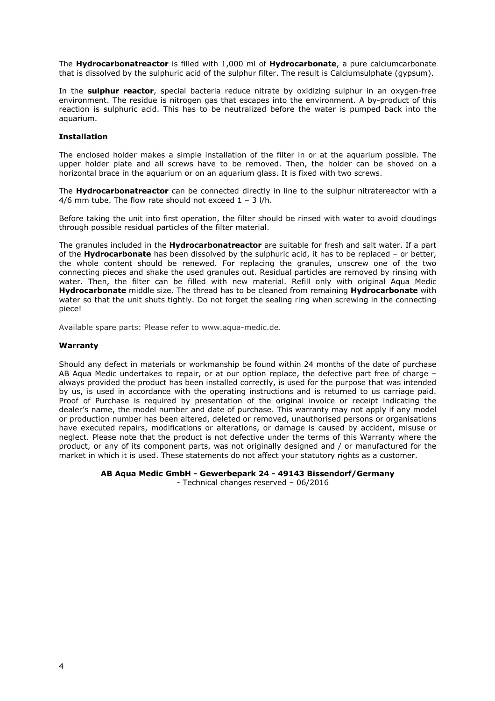The **Hydrocarbonatreactor** is filled with 1,000 ml of **Hydrocarbonate**, a pure calciumcarbonate that is dissolved by the sulphuric acid of the sulphur filter. The result is Calciumsulphate (gypsum).

In the **sulphur reactor**, special bacteria reduce nitrate by oxidizing sulphur in an oxygen-free environment. The residue is nitrogen gas that escapes into the environment. A by-product of this reaction is sulphuric acid. This has to be neutralized before the water is pumped back into the aquarium.

#### **Installation**

The enclosed holder makes a simple installation of the filter in or at the aquarium possible. The upper holder plate and all screws have to be removed. Then, the holder can be shoved on a horizontal brace in the aquarium or on an aquarium glass. It is fixed with two screws.

The **Hydrocarbonatreactor** can be connected directly in line to the sulphur nitratereactor with a 4/6 mm tube. The flow rate should not exceed  $1 - 3$  l/h.

Before taking the unit into first operation, the filter should be rinsed with water to avoid cloudings through possible residual particles of the filter material.

The granules included in the **Hydrocarbonatreactor** are suitable for fresh and salt water. If a part of the **Hydrocarbonate** has been dissolved by the sulphuric acid, it has to be replaced – or better, the whole content should be renewed. For replacing the granules, unscrew one of the two connecting pieces and shake the used granules out. Residual particles are removed by rinsing with water. Then, the filter can be filled with new material. Refill only with original Aqua Medic **Hydrocarbonate** middle size. The thread has to be cleaned from remaining **Hydrocarbonate** with water so that the unit shuts tightly. Do not forget the sealing ring when screwing in the connecting piece!

Available spare parts: Please refer to www.aqua-medic.de.

#### **Warranty**

Should any defect in materials or workmanship be found within 24 months of the date of purchase AB Aqua Medic undertakes to repair, or at our option replace, the defective part free of charge – always provided the product has been installed correctly, is used for the purpose that was intended by us, is used in accordance with the operating instructions and is returned to us carriage paid. Proof of Purchase is required by presentation of the original invoice or receipt indicating the dealer's name, the model number and date of purchase. This warranty may not apply if any model or production number has been altered, deleted or removed, unauthorised persons or organisations have executed repairs, modifications or alterations, or damage is caused by accident, misuse or neglect. Please note that the product is not defective under the terms of this Warranty where the product, or any of its component parts, was not originally designed and / or manufactured for the market in which it is used. These statements do not affect your statutory rights as a customer.

**AB Aqua Medic GmbH - Gewerbepark 24 - 49143 Bissendorf/Germany** 

- Technical changes reserved – 06/2016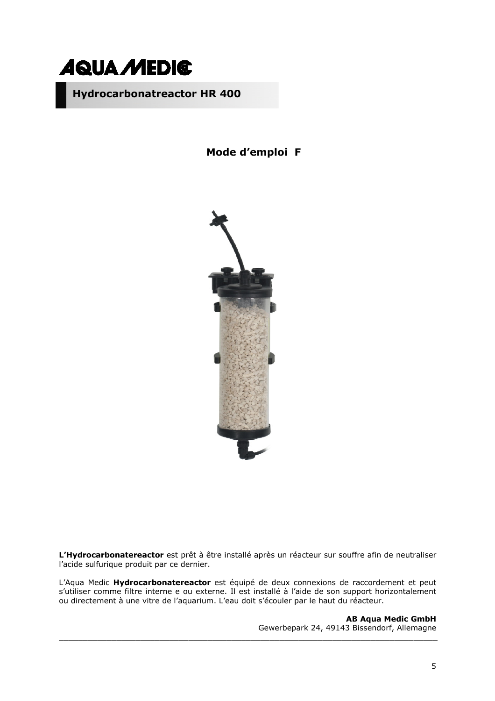

**Mode d'emploi F**



**L'Hydrocarbonatereactor** est prêt à être installé après un réacteur sur souffre afin de neutraliser l'acide sulfurique produit par ce dernier.

L'Aqua Medic **Hydrocarbonatereactor** est équipé de deux connexions de raccordement et peut s'utiliser comme filtre interne e ou externe. Il est installé à l'aide de son support horizontalement ou directement à une vitre de l'aquarium. L'eau doit s'écouler par le haut du réacteur.

**AB Aqua Medic GmbH** Gewerbepark 24, 49143 Bissendorf, Allemagne \_\_\_\_\_\_\_\_\_\_\_\_\_\_\_\_\_\_\_\_\_\_\_\_\_\_\_\_\_\_\_\_\_\_\_\_\_\_\_\_\_\_\_\_\_\_\_\_\_\_\_\_\_\_\_\_\_\_\_\_\_\_\_\_\_\_\_\_\_\_\_\_\_\_\_\_\_\_\_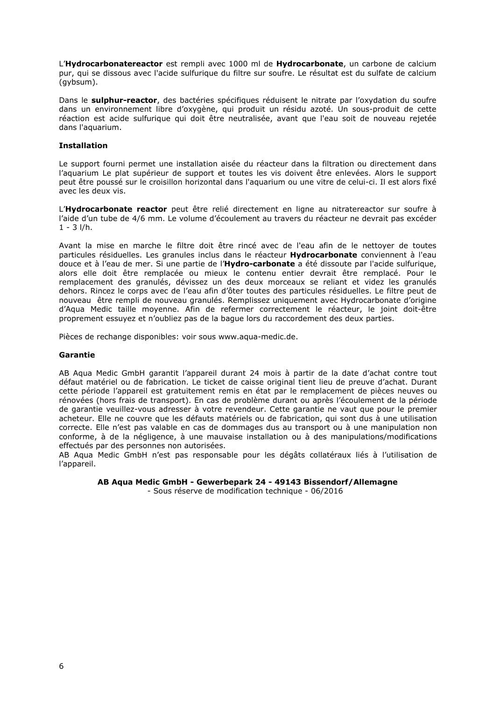L'**Hydrocarbonatereactor** est rempli avec 1000 ml de **Hydrocarbonate**, un carbone de calcium pur, qui se dissous avec l'acide sulfurique du filtre sur soufre. Le résultat est du sulfate de calcium (gybsum).

Dans le **sulphur-reactor**, des bactéries spécifiques réduisent le nitrate par l'oxydation du soufre dans un environnement libre d'oxygène, qui produit un résidu azoté. Un sous-produit de cette réaction est acide sulfurique qui doit être neutralisée, avant que l'eau soit de nouveau rejetée dans l'aquarium.

#### **Installation**

Le support fourni permet une installation aisée du réacteur dans la filtration ou directement dans l'aquarium Le plat supérieur de support et toutes les vis doivent être enlevées. Alors le support peut être poussé sur le croisillon horizontal dans l'aquarium ou une vitre de celui-ci. Il est alors fixé avec les deux vis.

L'**Hydrocarbonate reactor** peut être relié directement en ligne au nitratereactor sur soufre à l'aide d'un tube de 4/6 mm. Le volume d'écoulement au travers du réacteur ne devrait pas excéder  $1 - 3$   $1/h$ .

Avant la mise en marche le filtre doit être rincé avec de l'eau afin de le nettoyer de toutes particules résiduelles. Les granules inclus dans le réacteur **Hydrocarbonate** conviennent à l'eau douce et à l'eau de mer. Si une partie de l'**Hydro-carbonate** a été dissoute par l'acide sulfurique, alors elle doit être remplacée ou mieux le contenu entier devrait être remplacé. Pour le remplacement des granulés, dévissez un des deux morceaux se reliant et videz les granulés dehors. Rincez le corps avec de l'eau afin d'ôter toutes des particules résiduelles. Le filtre peut de nouveau être rempli de nouveau granulés. Remplissez uniquement avec Hydrocarbonate d'origine d'Aqua Medic taille moyenne. Afin de refermer correctement le réacteur, le joint doit-être proprement essuyez et n'oubliez pas de la bague lors du raccordement des deux parties.

Pièces de rechange disponibles: voir sous www.aqua-medic.de.

#### **Garantie**

AB Aqua Medic GmbH garantit l'appareil durant 24 mois à partir de la date d'achat contre tout défaut matériel ou de fabrication. Le ticket de caisse original tient lieu de preuve d'achat. Durant cette période l'appareil est gratuitement remis en état par le remplacement de pièces neuves ou rénovées (hors frais de transport). En cas de problème durant ou après l'écoulement de la période de garantie veuillez-vous adresser à votre revendeur. Cette garantie ne vaut que pour le premier acheteur. Elle ne couvre que les défauts matériels ou de fabrication, qui sont dus à une utilisation correcte. Elle n'est pas valable en cas de dommages dus au transport ou à une manipulation non conforme, à de la négligence, à une mauvaise installation ou à des manipulations/modifications effectués par des personnes non autorisées.

AB Aqua Medic GmbH n'est pas responsable pour les dégâts collatéraux liés à l'utilisation de l'appareil.

**AB Aqua Medic GmbH - Gewerbepark 24 - 49143 Bissendorf/Allemagne** 

- Sous réserve de modification technique - 06/2016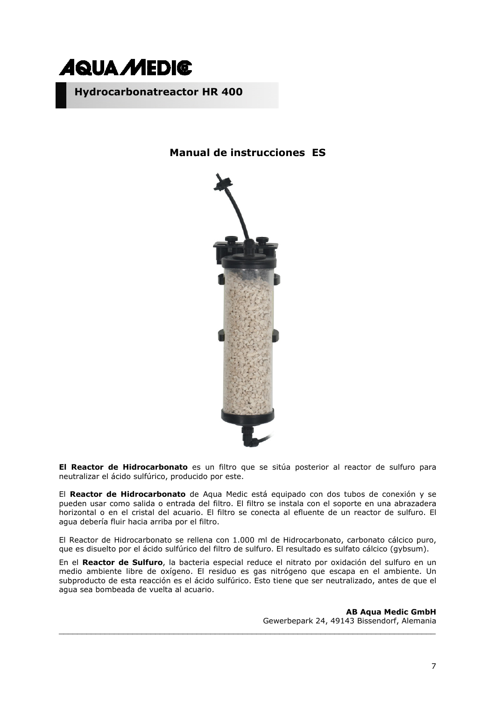

## **Manual de instrucciones ES**



**El Reactor de Hidrocarbonato** es un filtro que se sitúa posterior al reactor de sulfuro para neutralizar el ácido sulfúrico, producido por este.

El **Reactor de Hidrocarbonato** de Aqua Medic está equipado con dos tubos de conexión y se pueden usar como salida o entrada del filtro. El filtro se instala con el soporte en una abrazadera horizontal o en el cristal del acuario. El filtro se conecta al efluente de un reactor de sulfuro. El agua debería fluir hacia arriba por el filtro.

El Reactor de Hidrocarbonato se rellena con 1.000 ml de Hidrocarbonato, carbonato cálcico puro, que es disuelto por el ácido sulfúrico del filtro de sulfuro. El resultado es sulfato cálcico (gybsum).

En el **Reactor de Sulfuro**, la bacteria especial reduce el nitrato por oxidación del sulfuro en un medio ambiente libre de oxígeno. El residuo es gas nitrógeno que escapa en el ambiente. Un subproducto de esta reacción es el ácido sulfúrico. Esto tiene que ser neutralizado, antes de que el agua sea bombeada de vuelta al acuario.

\_\_\_\_\_\_\_\_\_\_\_\_\_\_\_\_\_\_\_\_\_\_\_\_\_\_\_\_\_\_\_\_\_\_\_\_\_\_\_\_\_\_\_\_\_\_\_\_\_\_\_\_\_\_\_\_\_\_\_\_\_\_\_\_\_\_\_\_\_\_\_\_\_\_\_\_\_\_\_\_\_\_

**AB Aqua Medic GmbH** Gewerbepark 24, 49143 Bissendorf, Alemania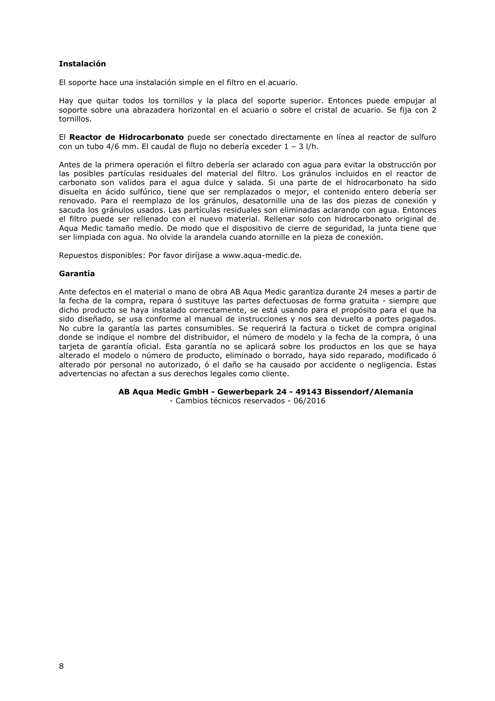#### **Instalación**

El soporte hace una instalación simple en el filtro en el acuario.

Hay que quitar todos los tornillos y la placa del soporte superior. Entonces puede empujar al soporte sobre una abrazadera horizontal en el acuario o sobre el cristal de acuario. Se fija con 2 tornillos.

El **Reactor de Hidrocarbonato** puede ser conectado directamente en línea al reactor de sulfuro con un tubo 4/6 mm. El caudal de flujo no debería exceder 1 – 3 l/h.

Antes de la primera operación el filtro debería ser aclarado con agua para evitar la obstrucción por las posibles partículas residuales del material del filtro. Los gránulos incluidos en el reactor de carbonato son validos para el agua dulce y salada. Si una parte de el hidrocarbonato ha sido disuelta en ácido sulfúrico, tiene que ser remplazados o mejor, el contenido entero debería ser renovado. Para el reemplazo de los gránulos, desatornille una de las dos piezas de conexión y sacuda los gránulos usados. Las partículas residuales son eliminadas aclarando con agua. Entonces el filtro puede ser rellenado con el nuevo material. Rellenar solo con hidrocarbonato original de Aqua Medic tamaño medio. De modo que el dispositivo de cierre de seguridad, la junta tiene que ser limpiada con agua. No olvide la arandela cuando atornille en la pieza de conexión.

Repuestos disponibles: Por favor diríjase a www.aqua-medic.de.

#### **Garantía**

Ante defectos en el material o mano de obra AB Aqua Medic garantiza durante 24 meses a partir de la fecha de la compra, repara ó sustituye las partes defectuosas de forma gratuita - siempre que dicho producto se haya instalado correctamente, se está usando para el propósito para el que ha sido diseñado, se usa conforme al manual de instrucciones y nos sea devuelto a portes pagados. No cubre la garantía las partes consumibles. Se requerirá la factura o ticket de compra original donde se indique el nombre del distribuidor, el número de modelo y la fecha de la compra, ó una tarieta de garantía oficial. Esta garantía no se aplicará sobre los productos en los que se hava alterado el modelo o número de producto, eliminado o borrado, haya sido reparado, modificado ó alterado por personal no autorizado, ó el daño se ha causado por accidente o negligencia. Estas advertencias no afectan a sus derechos legales como cliente.

**AB Aqua Medic GmbH - Gewerbepark 24 - 49143 Bissendorf/Alemania** 

- Cambios técnicos reservados - 06/2016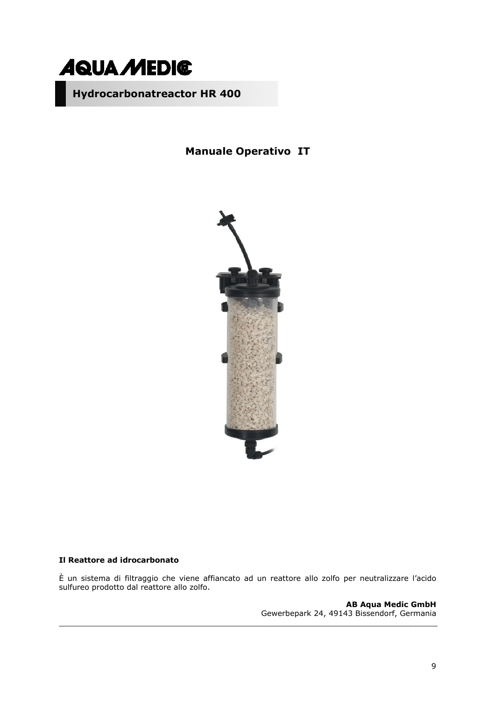

**Manuale Operativo IT** 



### **Il Reattore ad idrocarbonato**

È un sistema di filtraggio che viene affiancato ad un reattore allo zolfo per neutralizzare l'acido sulfureo prodotto dal reattore allo zolfo.

\_\_\_\_\_\_\_\_\_\_\_\_\_\_\_\_\_\_\_\_\_\_\_\_\_\_\_\_\_\_\_\_\_\_\_\_\_\_\_\_\_\_\_\_\_\_\_\_\_\_\_\_\_\_\_\_\_\_\_\_\_\_\_\_\_\_\_\_\_\_\_\_\_\_\_\_\_\_\_

**AB Aqua Medic GmbH** Gewerbepark 24, 49143 Bissendorf, Germania